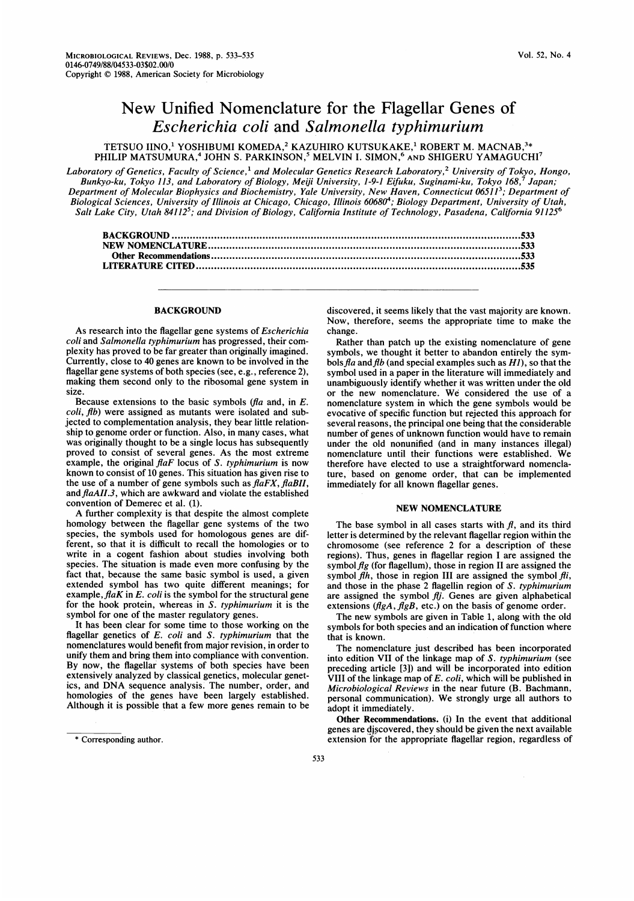## New Unified Nomenclature for the Flagellar Genes of Escherichia coli and Salmonella typhimurium

TETSUO IINO,<sup>1</sup> YOSHIBUMI KOMEDA,<sup>2</sup> KAZUHIRO KUTSUKAKE,<sup>1</sup> ROBERT M. MACNAB,<sup>3\*</sup> PHILIP MATSUMURA,<sup>4</sup> JOHN S. PARKINSON,<sup>5</sup> MELVIN I. SIMON,<sup>6</sup> AND SHIGERU YAMAGUCHI<sup>7</sup>

Laboratory of Genetics, Faculty of Science,<sup>1</sup> and Molecular Genetics Research Laboratory,<sup>2</sup> University of Tokyo, Hongo, Bunkyo-ku, Tokyo 113, and Laboratory of Biology, Meiji University, 1-9-1 Eifuku, Suginami-ku, Tokyo 168,7 Japan; Department of Molecular Biophysics and Biochemistry, Yale University, New Haven, Connecticut 06511<sup>3</sup>; Department of Biological Sciences, University of Illinois at Chicago, Chicago, Illinois 606804; Biology Department, University of Utah, Salt Lake City, Utah 84112<sup>5</sup>; and Division of Biology, California Institute of Technology, Pasadena, California 91125<sup>6</sup> EUMI KUMEDA,\* KAZUHIKU KUTSUKAKE,\* RUBEKT M. MACNAB,\*\*<br>OHN S. PARKINSON,<sup>5</sup> MELVIN I. SIMON,<sup>6</sup> AND SHIGERU YAMAGUCH<br>f Science,<sup>1</sup> and Molecular Genetics Research Laboratory,<sup>2</sup> University of Tokyo<br>boratory of Biology, Mei

## **BACKGROUND**

As research into the flagellar gene systems of Escherichia coli and Salmonella typhimurium has progressed, their complexity has proved to be far greater than originally imagined. Currently, close to 40 genes are known to be involved in the flagellar gene systems of both species (see, e.g., reference 2), making them second only to the ribosomal gene system in size.

Because extensions to the basic symbols ( $fa$  and, in  $E$ . coli, flb) were assigned as mutants were isolated and subjected to complementation analysis, they bear little relationship to genome order or function. Also, in many cases, what was originally thought to be a single locus has subsequently proved to consist of several genes. As the most extreme example, the original  $faF$  locus of S. typhimurium is now known to consist of 10 genes. This situation has given rise to the use of a number of gene symbols such as  $faFX, faBII$ , and flaAII.3, which are awkward and violate the established convention of Demerec et al. (1).

A further complexity is that despite the almost complete homology between the flagellar gene systems of the two species, the symbols used for homologous genes are different, so that it is difficult to recall the homologies or to write in a cogent fashion about studies involving both species. The situation is made even more confusing by the fact that, because the same basic symbol is used, a given extended symbol has two quite different meanings; for example,  $flaK$  in E. coli is the symbol for the structural gene for the hook protein, whereas in S. typhimurium it is the symbol for one of the master regulatory genes.

It has been clear for some time to those working on the flagellar genetics of E. coli and S. typhimurium that the nomenclatures would benefit from major revision, in order to unify them and bring them into compliance with convention. By now, the flagellar systems of both species have been extensively analyzed by classical genetics, molecular genetics, and DNA sequence analysis. The number, order, and homologies of the genes have been largely established. Although it is possible that a few more genes remain to be discovered, it seems likely that the vast majority are known. Now, therefore, seems the appropriate time to make the change.

Rather than patch up the existing nomenclature of gene symbols, we thought it better to abandon entirely the symbols  $fa$  and  $fb$  (and special examples such as  $H1$ ), so that the symbol used in a paper in the literature will immediately and unambiguously identify whether it was written under the old or the new nomenclature. We considered the use of <sup>a</sup> nomenclature system in which the gene symbols would be evocative of specific function but rejected this approach for several reasons, the principal one being that the considerable number of genes of unknown function would have to remain under the old nonunified (and in many instances illegal) nomenclature until their functions were established. We therefore have elected to use a straightforward nomenclature, based on genome order, that can be implemented immediately for all known flagellar genes.

## NEW NOMENCLATURE

The base symbol in all cases starts with  $f$ , and its third letter is determined by the relevant flagellar region within the chromosome (see reference 2 for a description of these regions). Thus, genes in flagellar region <sup>I</sup> are assigned the symbol  $fg$  (for flagellum), those in region II are assigned the symbol  $fh$ , those in region III are assigned the symbol  $fi$ , and those in the phase 2 flagellin region of S. typhimurium are assigned the symbol  $f_{ij}$ . Genes are given alphabetical extensions ( $\text{flgA}, \text{flgB},$  etc.) on the basis of genome order.

The new symbols are given in Table 1, along with the old symbols for both species and an indication of function where that is known.

The nomenclature just described has been incorporated into edition VII of the linkage map of S. typhimurium (see preceding article [3]) and will be incorporated into edition VIII of the linkage map of E. coli, which will be published in Microbiological Reviews in the near future (B. Bachmann, personal communication). We strongly urge all authors to adopt it immediately.

Other Recommendations. (i) In the event that additional genes are discovered, they should be given the next available extension for the appropriate flagellar region, regardless of

<sup>\*</sup> Corresponding author.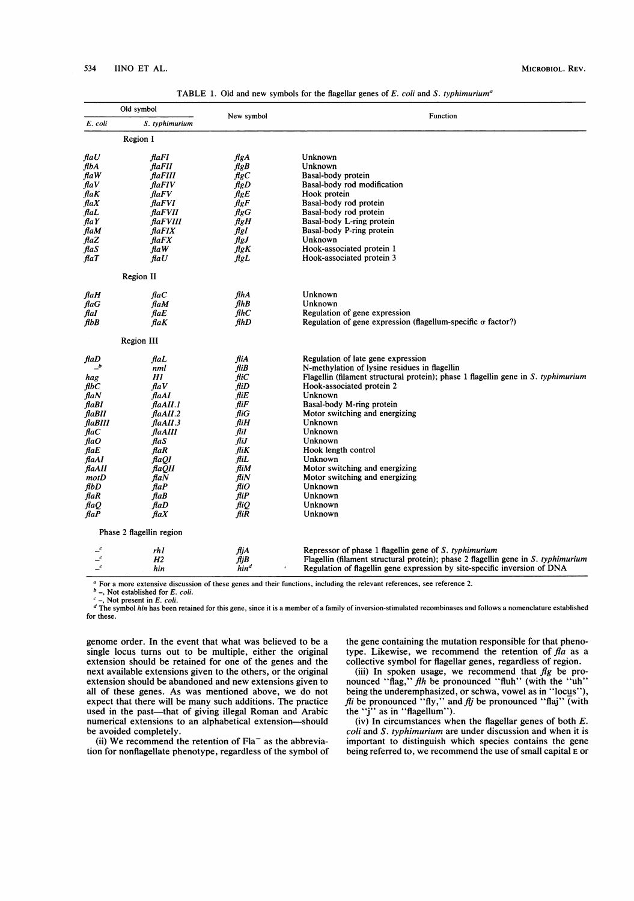| Old symbol                   |                               |                     | Function                                                                          |
|------------------------------|-------------------------------|---------------------|-----------------------------------------------------------------------------------|
| E. coli                      | S. typhimurium                | New symbol          |                                                                                   |
|                              | Region I                      |                     |                                                                                   |
| $\mathit{flaU}$              | flaFI                         | $\mathcal{H}gA$     | Unknown                                                                           |
| flbA                         | flaFII                        | $_{\mathit{flagB}}$ | Unknown                                                                           |
| flaW                         | flaFIII                       | $_{\text{HgC}}$     | Basal-body protein                                                                |
| $\mathit{flav}$              | flaFIV                        | $\mathcal{H}gD$     | Basal-body rod modification                                                       |
| $\boldsymbol{\mathit{flaK}}$ | $\theta$ a $FV$               | flgE                | Hook protein                                                                      |
| $\mathit{flaX}$              | flaFVI                        | $\mathit{flg}$ F    | Basal-body rod protein                                                            |
| $flat$                       | flaFVII                       | $\mathcal{H}gG$     | Basal-body rod protein                                                            |
| $\int$ fla $Y$               | flaFVIII                      | $\mathcal{H}gH$     | Basal-body L-ring protein                                                         |
| flaM                         | faFIX                         | figI                | Basal-body P-ring protein                                                         |
| $\mathit{flaZ}$              | $\mathit{flaFX}$              | $\mathit{fgJ}$      | Unknown                                                                           |
| flaS                         | $\mathcal{A}aW$               | $\mathcal{A}$ g $K$ | Hook-associated protein 1                                                         |
| $\beta$ aT                   | $\mathit{flaU}$               | $_{\mathit{HgL}}$   | Hook-associated protein 3                                                         |
|                              | Region II                     |                     |                                                                                   |
| flaH                         | $\mathit{flaC}$               | flhA                | Unknown                                                                           |
| flaG                         | $\mathbf{fla}M$               | fihB                | Unknown                                                                           |
| flaI                         | $\mathit{flat}$               | flhC                | Regulation of gene expression                                                     |
| fibB                         | flaK                          | flhD                | Regulation of gene expression (flagellum-specific $\sigma$ factor?)               |
|                              | <b>Region III</b>             |                     |                                                                                   |
| flaD                         | $\mathit{flat}$               | fliA                | Regulation of late gene expression                                                |
| $\_^b$                       | nml                           | $f\ddot{i}B$        | N-methylation of lysine residues in flagellin                                     |
| hag                          | Hl                            | fliC                | Flagellin (filament structural protein); phase 1 flagellin gene in S. typhimurium |
| flbC                         | $\mathit{flaV}$               | $\mathcal{H}iD$     | Hook-associated protein 2                                                         |
| $\mathit{flaN}$              | $\mathit{flaAI}$              | fliE                | Unknown                                                                           |
| flaBI                        | faAll.1                       | fliF                | Basal-body M-ring protein                                                         |
| flaBII                       | faAll.2                       | fliG                | Motor switching and energizing                                                    |
| flaBIII                      | flaAII.3                      | fliH                | Unknown                                                                           |
| $\mathit{flaC}$              | flaAIII                       | fliI                | Unknown                                                                           |
| $\mathcal{A}aO$              | $\mathit{flaS}$               | fliJ                | Unknown                                                                           |
| $\mathit{flat}$              | $\mathit{flaR}$               | fliK                | Hook length control                                                               |
| flaAI                        | faQI                          | fliL                | Unknown                                                                           |
| flaAII                       | <i>flaQII</i>                 | fliM                | Motor switching and energizing                                                    |
| motD                         | flaN                          | fli $N$             | Motor switching and energizing                                                    |
| flbD                         | $\mathcal{A}$ aP              | fliO                | Unknown                                                                           |
| $\mathit{flaR}$              | $\mathcal{A}$ a $\mathcal{B}$ | fliP                | Unknown                                                                           |
| $\mathit{flaQ}$              | $f$ daD                       | fliO                | Unknown                                                                           |
| $\mathcal{A}$ aP             | $\mathit{flaX}$               | fliR                | Unknown                                                                           |
|                              | Phase 2 flagellin region      |                     |                                                                                   |
|                              | rhl                           | fljA                | Repressor of phase 1 flagellin gene of S. typhimurium                             |
| $\mathbf{r}$                 | H <sub>2</sub>                | fliB                | Flagellin (filament structural protein); phase 2 flagellin gene in S. typhimurium |
| $\mathcal{L}^c$              | hin                           | hin <sup>d</sup>    | Regulation of flagellin gene expression by site-specific inversion of DNA         |

TABLE 1. Old and new symbols for the flagellar genes of  $F$ , coli and S. typhimurium<sup>a</sup>

<sup>a</sup> For a more extensive discussion of these genes and their functions, including the relevant references, see reference 2.<br>  $\frac{b}{a}$  Not established for *E* soli

 $-$ , Not established for  $E.$  coli.

, Not present in E. coli.

The symbol hin has been retained for this gene, since it is a member of a family of inversion-stimulated recombinases and follows a nomenclature established for these.

genome order. In the event that what was believed to be a single locus turns out to be multiple, either the original extension should be retained for one of the genes and the next available extensions given to the others, or the original extension should be abandoned and new extensions given to all of these genes. As was mentioned above, we do not expect that there will be many such additions. The practice used in the past-that of giving illegal Roman and Arabic numerical extensions to an alphabetical extension-should be avoided completely.

(ii) We recommend the retention of  $Fla^-$  as the abbreviation for nonflagellate phenotype, regardless of the symbol of the gene containing the mutation responsible for that phenotype. Likewise, we recommend the retention of  $fa$  as a collective symbol for flagellar genes, regardless of region.

(iii) In spoken usage, we recommend that  $fg$  be pronounced "flag," flh be pronounced "fluh" (with the "uh" being the underemphasized, or schwa, vowel as in "locus"), fli be pronounced "fly," and flj be pronounced "flaj" (with the "j" as in "flagellum").

(iv) In circumstances when the flagellar genes of both  $E$ . coli and S. typhimurium are under discussion and when it is important to distinguish which species contains the gene being referred to, we recommend the use of small capital E or